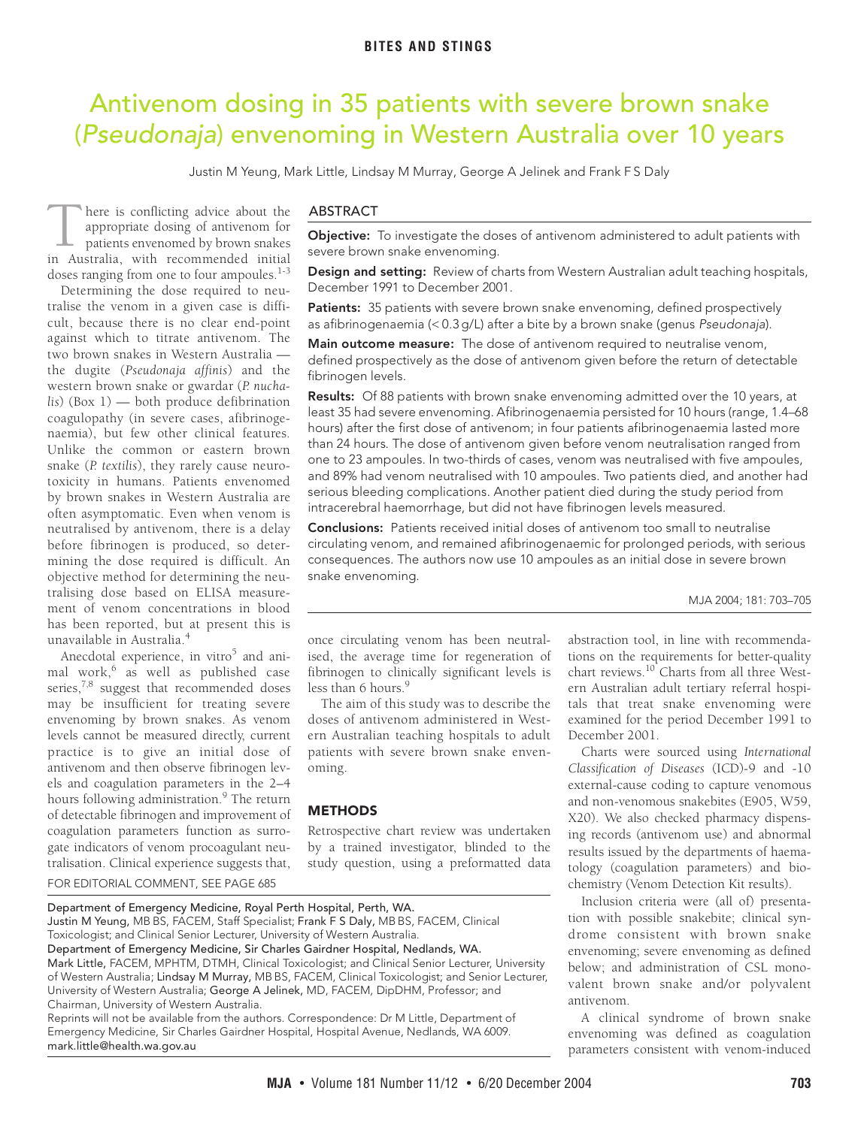# <span id="page-0-0"></span>Antivenom dosing in 35 patients with severe brown snake (Pseudonaja) envenoming in Western Australia over 10 years

Justin M Yeung, Mark Little, Lindsay M Murray, George A Jelinek and Frank F S Daly

here is conflicting advice about the appropriate dosing of antivenom for patients envenomed by brown snakes There is conflicting advice about the appropriate dosing of antivenom for patients envenomed by brown snakes in Australia, with recommended initial doses ranging from one to four ampoules.<sup>[1](#page-2-0)-[3](#page-2-1)</sup>

cult, because there is no clear end-point against which to titrate antivenom. The 12 703-705 the dugite (*Pseudonaja affinis*) and the western brown snake or gwardar (*P. nucha-*lis) ([Box 1\)](#page-1-0) — both produce defibrination Determining the dose required to neutralise the venom in a given case is diffitwo bro[wn s](#page-0-0)[nak](#page-2-9)es in Western Australia coagulopathy (in severe cases, afibrinogenaemia), but few other clinical features. Unlike the common or eastern brown snake (*P. textilis*), they rarely cause neurotoxicity in humans. Patients envenomed by brown snakes in Western Australia are often asymptomatic. Even when venom is neutralised by antivenom, there is a delay before fibrinogen is produced, so determining the dose required is difficult. An objective method for determining the neutralising dose based on ELISA measurement of venom concentrations in blood has been reported, but at present this is unavailable in Australia.[4](#page-2-2)

Anecdotal experience, in vitro<sup>5</sup> and ani-mal work,<sup>[6](#page-2-4)</sup> as well as published case series, $7,8$  suggest that recommended doses may be insufficient for treating severe envenoming by brown snakes. As venom levels cannot be measured directly, current practice is to give an initial dose of antivenom and then observe fibrinogen levels and coagulation parameters in the 2–4 hours following administration.<sup>[9](#page-2-7)</sup> The return of detectable fibrinogen and improvement of coagulation parameters function as surrogate indicators of venom procoagulant neutralisation. Clinical experience suggests that,

## ABSTRACT

**Objective:** To investigate the doses of antivenom administered to adult patients with severe brown snake envenoming.

**Design and setting:** Review of charts from Western Australian adult teaching hospitals, December 1991 to December 2001.

**Patients:** 35 patients with severe brown snake envenoming, defined prospectively as afibrinogenaemia (< 0.3 g/L) after a bite by a brown snake (genus Pseudonaja).

**Main outcome measure:** The dose of antivenom required to neutralise venom, defined prospectively as the dose of antivenom given before the return of detectable fibrinogen levels.

**Results:** Of 88 patients with brown snake envenoming admitted over the 10 years, at least 35 had severe envenoming. Afibrinogenaemia persisted for 10 hours (range, 1.4–68 hours) after the first dose of antivenom; in four patients afibrinogenaemia lasted more than 24 hours. The dose of antivenom given before venom neutralisation ranged from one to 23 ampoules. In two-thirds of cases, venom was neutralised with five ampoules, and 89% had venom neutralised with 10 ampoules. Two patients died, and another had serious bleeding complications. Another patient died during the study period from intracerebral haemorrhage, but did not have fibrinogen levels measured.

**Conclusions:** Patients received initial doses of antivenom too small to neutralise circulating venom, and remained afibrinogenaemic for prolonged periods, with serious consequences. The authors now use 10 ampoules as an initial dose in severe brown snake envenoming.

MJA 2004; 181: 703–705

once circulating venom has been neutralised, the average time for regeneration of fibrinogen to clinically significant levels is less than 6 hours.<sup>9</sup>

The aim of this study was to describe the doses of antivenom administered in Western Australian teaching hospitals to adult patients with severe brown snake envenoming.

## **METHODS**

Retrospective chart review was undertaken by a trained investigator, blinded to the study question, using a preformatted data abstraction tool, in line with recommendations on the requirements for better-quality chart reviews.<sup>10</sup> Charts from all three Western Australian adult tertiary referral hospitals that treat snake envenoming were examined for the period December 1991 to December 2001.

Charts were sourced using *International Classification of Diseases* (ICD)-9 and -10 external-cause coding to capture venomous and non-venomous snakebites (E905, W59, X20). We also checked pharmacy dispensing records (antivenom use) and abnormal results issued by the departments of haematology (coagulation parameters) and biochemistry (Venom Detection Kit results).

Inclusion criteria were (all of) presentation with possible snakebite; clinical syndrome consistent with brown snake envenoming; severe envenoming as defined below; and administration of CSL monovalent brown snake and/or polyvalent antivenom.

A clinical syndrome of brown snake envenoming was defined as coagulation parameters consistent with venom-induced

FOR EDITORIAL COMMENT, SEE PAGE 685

Department of Emergency Medicine, Royal Perth Hospital, Perth, WA. Justin M Yeung, MB BS, FACEM, Staff Specialist; Frank F S Daly, MB BS, FACEM, Clinical Toxicologist; and Clinical Senior Lecturer, University of Western Australia. Department of Emergency Medicine, Sir Charles Gairdner Hospital, Nedlands, WA. Mark Little, FACEM, MPHTM, DTMH, Clinical Toxicologist; and Clinical Senior Lecturer, University

of Western Australia; Lindsay M Murray, MB BS, FACEM, Clinical Toxicologist; and Senior Lecturer, University of Western Australia; George A Jelinek, MD, FACEM, DipDHM, Professor; and Chairman, University of Western Australia.

Reprints will not be available from the authors. Correspondence: Dr M Little, Department of Emergency Medicine, Sir Charles Gairdner Hospital, Hospital Avenue, Nedlands, WA 6009. mark.little@health.wa.gov.au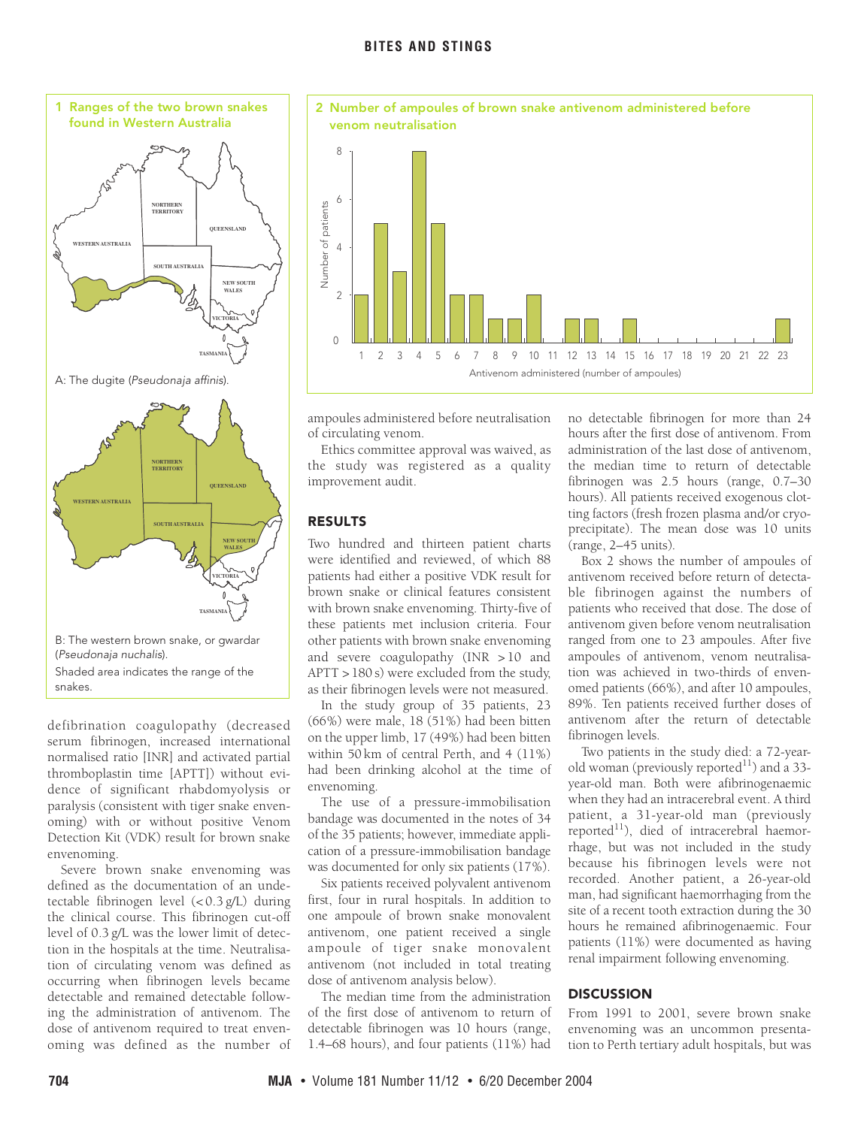<span id="page-1-0"></span>

defibrination coagulopathy (decreased serum fibrinogen, increased international normalised ratio [INR] and activated partial thromboplastin time [APTT]) without evidence of significant rhabdomyolysis or paralysis (consistent with tiger snake envenoming) with or without positive Venom Detection Kit (VDK) result for brown snake envenoming.

Severe brown snake envenoming was defined as the documentation of an undetectable fibrinogen level (< 0.3 g/L) during the clinical course. This fibrinogen cut-off level of 0.3 g/L was the lower limit of detection in the hospitals at the time. Neutralisation of circulating venom was defined as occurring when fibrinogen levels became detectable and remained detectable following the administration of antivenom. The dose of antivenom required to treat envenoming was defined as the number of

<span id="page-1-1"></span>

ampoules administered before neutralisation of circulating venom.

Ethics committee approval was waived, as the study was registered as a quality improvement audit.

## **RESULTS**

Two hundred and thirteen patient charts were identified and reviewed, of which 88 patients had either a positive VDK result for brown snake or clinical features consistent with brown snake envenoming. Thirty-five of these patients met inclusion criteria. Four other patients with brown snake envenoming and severe coagulopathy (INR > 10 and APTT > 180 s) were excluded from the study, as their fibrinogen levels were not measured.

In the study group of 35 patients, 23 (66%) were male, 18 (51%) had been bitten on the upper limb, 17 (49%) had been bitten within 50 km of central Perth, and 4 (11%) had been drinking alcohol at the time of envenoming.

The use of a pressure-immobilisation bandage was documented in the notes of 34 of the 35 patients; however, immediate application of a pressure-immobilisation bandage was documented for only six patients (17%).

Six patients received polyvalent antivenom first, four in rural hospitals. In addition to one ampoule of brown snake monovalent antivenom, one patient received a single ampoule of tiger snake monovalent antivenom (not included in total treating dose of antivenom analysis below).

The median time from the administration of the first dose of antivenom to return of detectable fibrinogen was 10 hours (range, 1.4–68 hours), and four patients (11%) had

no detectable fibrinogen for more than 24 hours after the first dose of antivenom. From administration of the last dose of antivenom, the median time to return of detectable fibrinogen was 2.5 hours (range, 0.7–30 hours). All patients received exogenous clotting factors (fresh frozen plasma and/or cryoprecipitate). The mean dose was 10 units (range, 2–45 units).

[Box 2](#page-1-1) shows the number of ampoules of antivenom received before return of detectable fibrinogen against the numbers of patients who received that dose. The dose of antivenom given before venom neutralisation ranged from one to 23 ampoules. After five ampoules of antivenom, venom neutralisation was achieved in two-thirds of envenomed patients (66%), and after 10 ampoules, 89%. Ten patients received further doses of antivenom after the return of detectable fibrinogen levels.

Two patients in the study died: a 72-yearold woman (previously reported $^{11}$ ) and a 33year-old man. Both were afibrinogenaemic when they had an intracerebral event. A third patient, a 31-year-old man (previously reported $11$ ), died of intracerebral haemorrhage, but was not included in the study because his fibrinogen levels were not recorded. Another patient, a 26-year-old man, had significant haemorrhaging from the site of a recent tooth extraction during the 30 hours he remained afibrinogenaemic. Four patients (11%) were documented as having renal impairment following envenoming.

#### **DISCUSSION**

From 1991 to 2001, severe brown snake envenoming was an uncommon presentation to Perth tertiary adult hospitals, but was